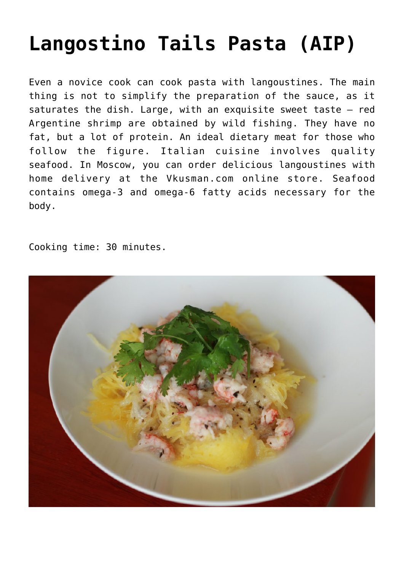## **[Langostino Tails Pasta \(AIP\)](https://sproutshealth.com/langostino-tails-pasta-aip/)**

Even a novice cook can cook pasta with langoustines. The main thing is not to simplify the preparation of the sauce, as it saturates the dish. Large, with an exquisite sweet taste – red Argentine shrimp are obtained by wild fishing. They have no fat, but a lot of protein. An ideal dietary meat for those who follow the figure. Italian cuisine involves quality seafood. In Moscow, you can order delicious langoustines with home delivery at the Vkusman.com online store. Seafood contains omega-3 and omega-6 fatty acids necessary for the body.

Cooking time: 30 minutes.